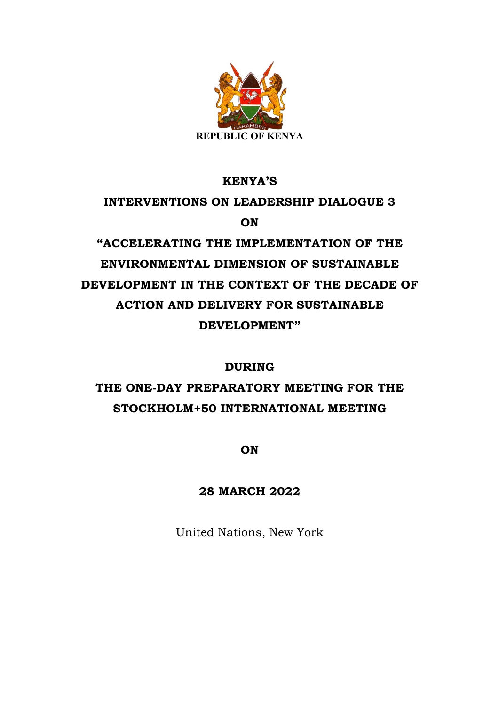

# **KENYA'S INTERVENTIONS ON LEADERSHIP DIALOGUE 3 ON "ACCELERATING THE IMPLEMENTATION OF THE**

**ENVIRONMENTAL DIMENSION OF SUSTAINABLE DEVELOPMENT IN THE CONTEXT OF THE DECADE OF ACTION AND DELIVERY FOR SUSTAINABLE DEVELOPMENT"**

### **DURING**

# **THE ONE-DAY PREPARATORY MEETING FOR THE STOCKHOLM+50 INTERNATIONAL MEETING**

**ON**

## **28 MARCH 2022**

United Nations, New York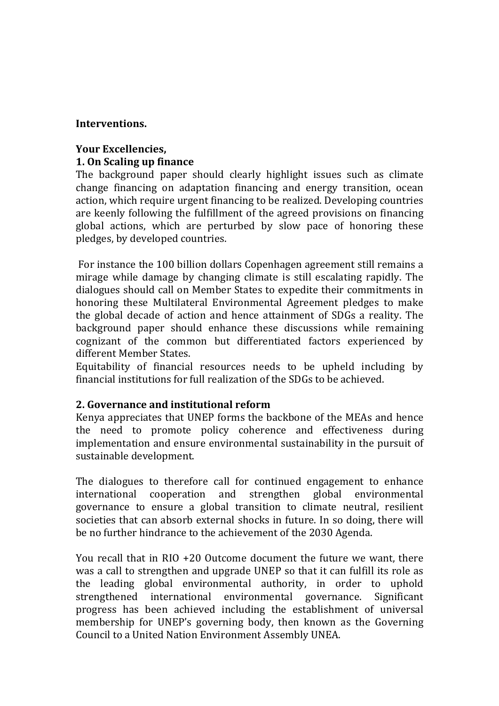#### **Interventions.**

#### **Your Excellencies, 1. On Scaling up finance**

The background paper should clearly highlight issues such as climate change financing on adaptation financing and energy transition, ocean action, which require urgent financing to be realized. Developing countries are keenly following the fulfillment of the agreed provisions on financing global actions, which are perturbed by slow pace of honoring these pledges, by developed countries.

For instance the 100 billion dollars Copenhagen agreement still remains a mirage while damage by changing climate is still escalating rapidly. The dialogues should call on Member States to expedite their commitments in honoring these Multilateral Environmental Agreement pledges to make the global decade of action and hence attainment of SDGs a reality. The background paper should enhance these discussions while remaining cognizant of the common but differentiated factors experienced by different Member States.

Equitability of financial resources needs to be upheld including by financial institutions for full realization of the SDGs to be achieved.

#### **2. Governance and institutional reform**

Kenya appreciates that UNEP forms the backbone of the MEAs and hence the need to promote policy coherence and effectiveness during implementation and ensure environmental sustainability in the pursuit of sustainable development.

The dialogues to therefore call for continued engagement to enhance international cooperation and strengthen global environmental governance to ensure a global transition to climate neutral, resilient societies that can absorb external shocks in future. In so doing, there will be no further hindrance to the achievement of the 2030 Agenda.

You recall that in RIO  $+20$  Outcome document the future we want, there was a call to strengthen and upgrade UNEP so that it can fulfill its role as the leading global environmental authority, in order to uphold strengthened international environmental governance. Significant progress has been achieved including the establishment of universal membership for UNEP's governing body, then known as the Governing Council to a United Nation Environment Assembly UNEA.